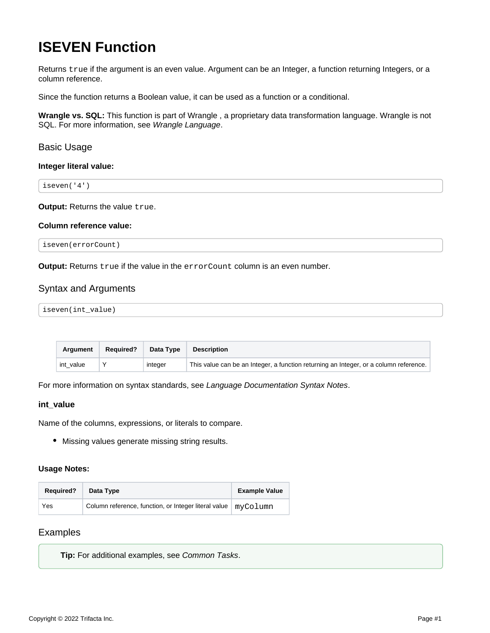# **ISEVEN Function**

Returns true if the argument is an even value. Argument can be an Integer, a function returning Integers, or a column reference.

Since the function returns a Boolean value, it can be used as a function or a conditional.

**Wrangle vs. SQL:** This function is part of Wrangle , a proprietary data transformation language. Wrangle is not SQL. For more information, see [Wrangle Language](https://docs.trifacta.com/display/AWS/Wrangle+Language).

## Basic Usage

## **Integer literal value:**

iseven('4')

**Output: Returns the value true.** 

## **Column reference value:**

iseven(errorCount)

**Output:** Returns true if the value in the errorCount column is an even number.

# Syntax and Arguments

| iseven(int_value) |
|-------------------|
|-------------------|

| <b>Argument</b> | <b>Required?</b> | Data Type | <b>Description</b>                                                                    |
|-----------------|------------------|-----------|---------------------------------------------------------------------------------------|
| int value       |                  | integer   | This value can be an Integer, a function returning an Integer, or a column reference. |

For more information on syntax standards, see [Language Documentation Syntax Notes](https://docs.trifacta.com/display/AWS/Language+Documentation+Syntax+Notes).

## **int\_value**

Name of the columns, expressions, or literals to compare.

Missing values generate missing string results.

## **Usage Notes:**

| <b>Required?</b> | Data Type                                                       | <b>Example Value</b> |
|------------------|-----------------------------------------------------------------|----------------------|
| Yes              | Column reference, function, or Integer literal value   myColumn |                      |

# Examples

**Tip:** For additional examples, see [Common Tasks](https://docs.trifacta.com/display/AWS/Common+Tasks).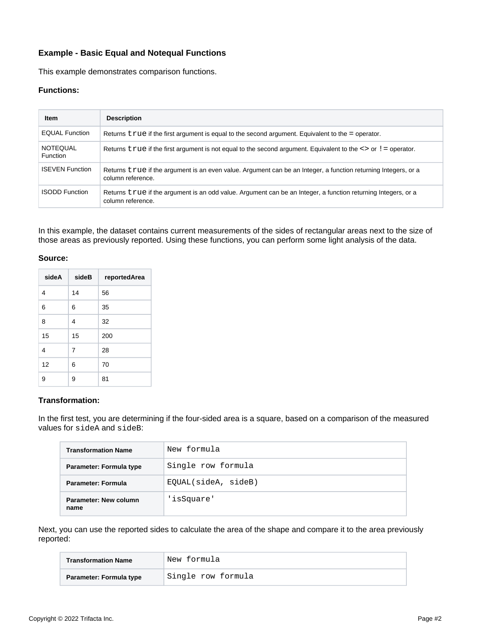# **Example - Basic Equal and Notequal Functions**

This example demonstrates comparison functions.

## **Functions:**

| Item                        | <b>Description</b>                                                                                                                  |
|-----------------------------|-------------------------------------------------------------------------------------------------------------------------------------|
| <b>EQUAL Function</b>       | Returns $true$ if the first argument is equal to the second argument. Equivalent to the = operator.                                 |
| <b>NOTEQUAL</b><br>Function | Returns true if the first argument is not equal to the second argument. Equivalent to the $\langle \rangle$ or $\vert$ = operator.  |
| <b>ISEVEN Function</b>      | Returns true if the argument is an even value. Argument can be an Integer, a function returning Integers, or a<br>column reference. |
| <b>ISODD Function</b>       | Returns true if the argument is an odd value. Argument can be an Integer, a function returning Integers, or a<br>column reference.  |

In this example, the dataset contains current measurements of the sides of rectangular areas next to the size of those areas as previously reported. Using these functions, you can perform some light analysis of the data.

## **Source:**

| sideA          | sideB | reportedArea |
|----------------|-------|--------------|
| 4              | 14    | 56           |
| 6              | 6     | 35           |
| 8              | 4     | 32           |
| 15             | 15    | 200          |
| $\overline{4}$ | 7     | 28           |
| 12             | 6     | 70           |
| 9              | 9     | 81           |

## **Transformation:**

In the first test, you are determining if the four-sided area is a square, based on a comparison of the measured values for sideA and sideB:

| <b>Transformation Name</b>    | New formula         |  |  |
|-------------------------------|---------------------|--|--|
| Parameter: Formula type       | Single row formula  |  |  |
| Parameter: Formula            | EQUAL(sideA, sideB) |  |  |
| Parameter: New column<br>name | 'isSquare'          |  |  |

Next, you can use the reported sides to calculate the area of the shape and compare it to the area previously reported:

| <b>Transformation Name</b> | New formula        |  |  |
|----------------------------|--------------------|--|--|
| Parameter: Formula type    | Single row formula |  |  |